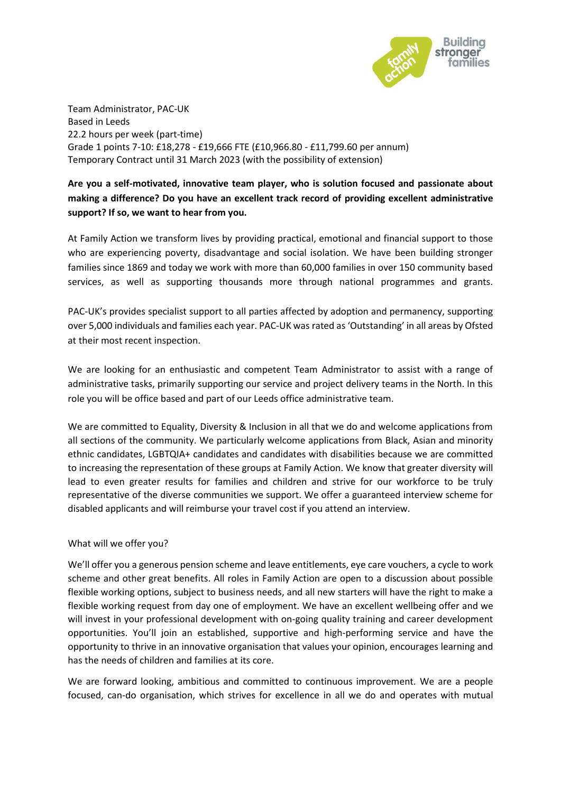

Team Administrator, PAC-UK Based in Leeds 22.2 hours per week (part-time) Grade 1 points 7-10: £18,278 - £19,666 FTE (£10,966.80 - £11,799.60 per annum) Temporary Contract until 31 March 2023 (with the possibility of extension)

## **Are you a self-motivated, innovative team player, who is solution focused and passionate about making a difference? Do you have an excellent track record of providing excellent administrative support? If so, we want to hear from you.**

At Family Action we transform lives by providing practical, emotional and financial support to those who are experiencing poverty, disadvantage and social isolation. We have been building stronger families since 1869 and today we work with more than 60,000 families in over 150 community based services, as well as supporting thousands more through national programmes and grants.

PAC-UK's provides specialist support to all parties affected by adoption and permanency, supporting over 5,000 individuals and families each year. PAC-UK was rated as 'Outstanding' in all areas by Ofsted at their most recent inspection.

We are looking for an enthusiastic and competent Team Administrator to assist with a range of administrative tasks, primarily supporting our service and project delivery teams in the North. In this role you will be office based and part of our Leeds office administrative team.

We are committed to Equality, Diversity & Inclusion in all that we do and welcome applications from all sections of the community. We particularly welcome applications from Black, Asian and minority ethnic candidates, LGBTQIA+ candidates and candidates with disabilities because we are committed to increasing the representation of these groups at Family Action. We know that greater diversity will lead to even greater results for families and children and strive for our workforce to be truly representative of the diverse communities we support. We offer a guaranteed interview scheme for disabled applicants and will reimburse your travel cost if you attend an interview.

## What will we offer you?

We'll offer you a generous pension scheme and leave entitlements, eye care vouchers, a cycle to work scheme and other great benefits. All roles in Family Action are open to a discussion about possible flexible working options, subject to business needs, and all new starters will have the right to make a flexible working request from day one of employment. We have an excellent wellbeing offer and we will invest in your professional development with on-going quality training and career development opportunities. You'll join an established, supportive and high-performing service and have the opportunity to thrive in an innovative organisation that values your opinion, encourages learning and has the needs of children and families at its core.

We are forward looking, ambitious and committed to continuous improvement. We are a people focused, can-do organisation, which strives for excellence in all we do and operates with mutual